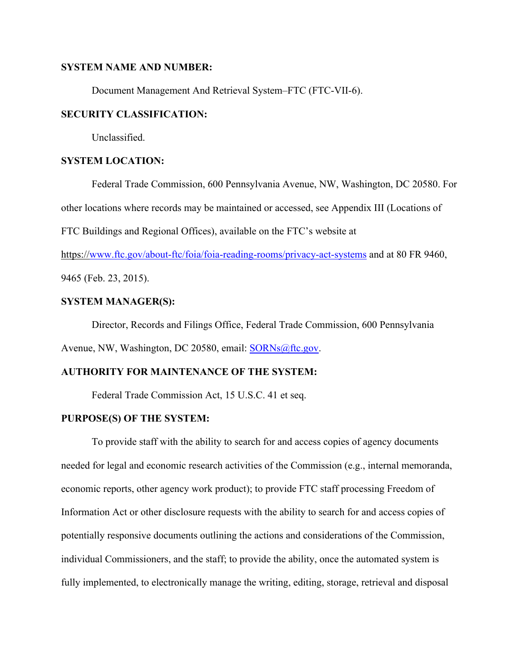#### **SYSTEM NAME AND NUMBER:**

Document Management And Retrieval System–FTC (FTC-VII-6).

## **SECURITY CLASSIFICATION:**

Unclassified.

## **SYSTEM LOCATION:**

Federal Trade Commission, 600 Pennsylvania Avenue, NW, Washington, DC 20580. For other locations where records may be maintained or accessed, see Appendix III (Locations of FTC Buildings and Regional Offices), available on the FTC's website at

https://www.ftc.gov/about-ftc/foia/foia-reading-rooms/privacy-act-systems and at 80 FR 9460,

9465 (Feb. 23, 2015).

# **SYSTEM MANAGER(S):**

Director, Records and Filings Office, Federal Trade Commission, 600 Pennsylvania Avenue, NW, Washington, DC 20580, email: SORNs@ftc.gov.

#### **AUTHORITY FOR MAINTENANCE OF THE SYSTEM:**

Federal Trade Commission Act, 15 U.S.C. 41 et seq.

## **PURPOSE(S) OF THE SYSTEM:**

 To provide staff with the ability to search for and access copies of agency documents needed for legal and economic research activities of the Commission (e.g., internal memoranda, economic reports, other agency work product); to provide FTC staff processing Freedom of Information Act or other disclosure requests with the ability to search for and access copies of potentially responsive documents outlining the actions and considerations of the Commission, individual Commissioners, and the staff; to provide the ability, once the automated system is fully implemented, to electronically manage the writing, editing, storage, retrieval and disposal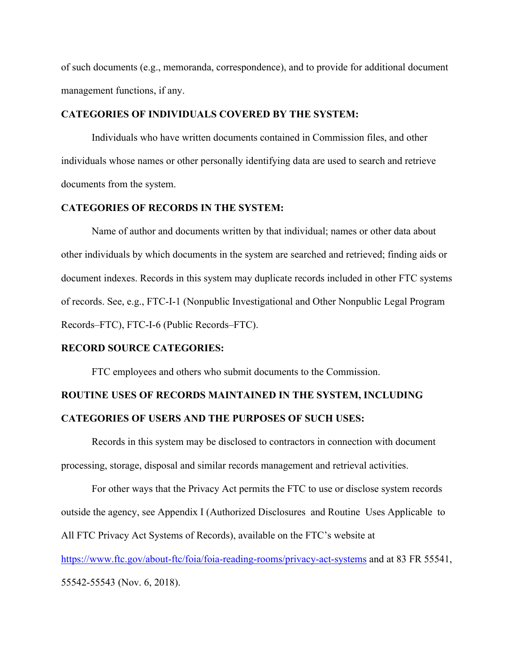of such documents (e.g., memoranda, correspondence), and to provide for additional document management functions, if any.

# **CATEGORIES OF INDIVIDUALS COVERED BY THE SYSTEM:**

 Individuals who have written documents contained in Commission files, and other individuals whose names or other personally identifying data are used to search and retrieve documents from the system.

## **CATEGORIES OF RECORDS IN THE SYSTEM:**

 Name of author and documents written by that individual; names or other data about other individuals by which documents in the system are searched and retrieved; finding aids or document indexes. Records in this system may duplicate records included in other FTC systems of records. See, e.g., FTC-I-1 (Nonpublic Investigational and Other Nonpublic Legal Program Records–FTC), FTC-I-6 (Public Records–FTC).

#### **RECORD SOURCE CATEGORIES:**

FTC employees and others who submit documents to the Commission.

# **ROUTINE USES OF RECORDS MAINTAINED IN THE SYSTEM, INCLUDING CATEGORIES OF USERS AND THE PURPOSES OF SUCH USES:**

 Records in this system may be disclosed to contractors in connection with document processing, storage, disposal and similar records management and retrieval activities.

For other ways that the Privacy Act permits the FTC to use or disclose system records outside the agency, see Appendix I (Authorized Disclosures and Routine Uses Applicable to All FTC Privacy Act Systems of Records), available on the FTC's website at https://www.ftc.gov/about-ftc/foia/foia-reading-rooms/privacy-act-systems and at 83 FR 55541, 55542-55543 (Nov. 6, 2018).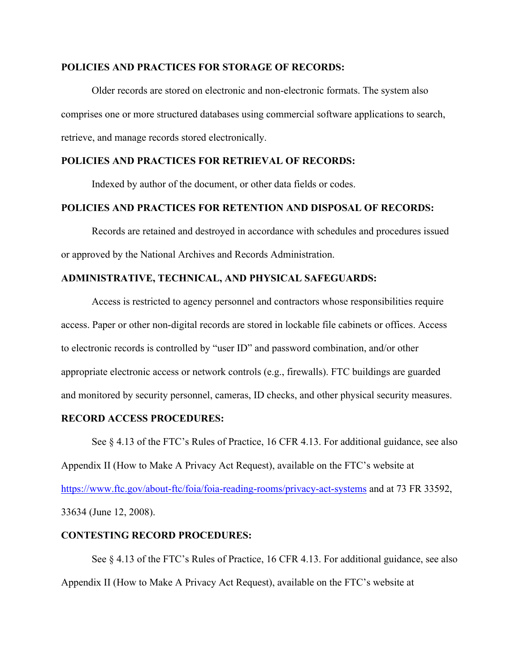#### **POLICIES AND PRACTICES FOR STORAGE OF RECORDS:**

 Older records are stored on electronic and non-electronic formats. The system also comprises one or more structured databases using commercial software applications to search, retrieve, and manage records stored electronically.

# **POLICIES AND PRACTICES FOR RETRIEVAL OF RECORDS:**

Indexed by author of the document, or other data fields or codes.

# **POLICIES AND PRACTICES FOR RETENTION AND DISPOSAL OF RECORDS:**

 Records are retained and destroyed in accordance with schedules and procedures issued or approved by the National Archives and Records Administration.

# **ADMINISTRATIVE, TECHNICAL, AND PHYSICAL SAFEGUARDS:**

 Access is restricted to agency personnel and contractors whose responsibilities require access. Paper or other non-digital records are stored in lockable file cabinets or offices. Access to electronic records is controlled by "user ID" and password combination, and/or other appropriate electronic access or network controls (e.g., firewalls). FTC buildings are guarded and monitored by security personnel, cameras, ID checks, and other physical security measures.

## **RECORD ACCESS PROCEDURES:**

See § 4.13 of the FTC's Rules of Practice, 16 CFR 4.13. For additional guidance, see also Appendix II (How to Make A Privacy Act Request), available on the FTC's website at https://www.ftc.gov/about-ftc/foia/foia-reading-rooms/privacy-act-systems and at 73 FR 33592, 33634 (June 12, 2008).

#### **CONTESTING RECORD PROCEDURES:**

See § 4.13 of the FTC's Rules of Practice, 16 CFR 4.13. For additional guidance, see also Appendix II (How to Make A Privacy Act Request), available on the FTC's website at